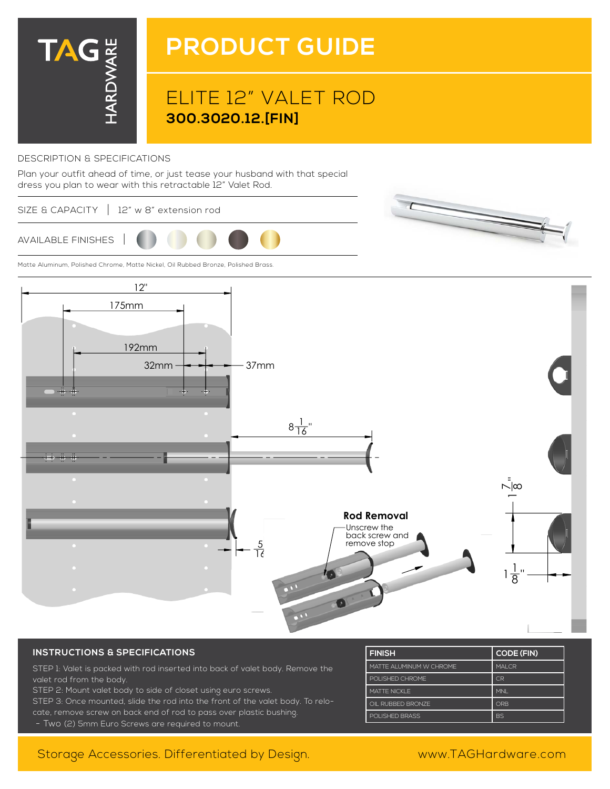

# **PRODUCT GUIDE**

## ELITE 12" VALET ROD **300.3020.12.[FIN]**

### DESCRIPTION & SPECIFICATIONS

Plan your outfit ahead of time, or just tease your husband with that special dress you plan to wear with this retractable 12" Valet Rod.

#### SIZE & CAPACITY | 12" w 8" extension rod



Matte Aluminum, Polished Chrome, Matte Nickel, Oil Rubbed Bronze, Polished Brass.





### **INSTRUCTIONS & SPECIFICATIONS**

STEP 1: Valet is packed with rod inserted into back of valet body. Remove the valet rod from the body.

STEP 2: Mount valet body to side of closet using euro screws.

STEP 3: Once mounted, slide the rod into the front of the valet body. To relocate, remove screw on back end of rod to pass over plastic bushing.

- Two (2) 5mm Euro Screws are required to mount.

| <b>FINISH</b>           | <b>CODE (FIN)</b> |
|-------------------------|-------------------|
| MATTE ALUMINUM W CHROME | <b>MALCR</b>      |
| POLISHED CHROME         | C <sub>R</sub>    |
| <b>MATTE NICKLE</b>     | <b>MNI</b>        |
| OIL RUBBED BRONZE       | ORB               |
| POLISHED BRASS          | <b>BS</b>         |

### Storage Accessories. Differentiated by Design. www.TAGHardware.com